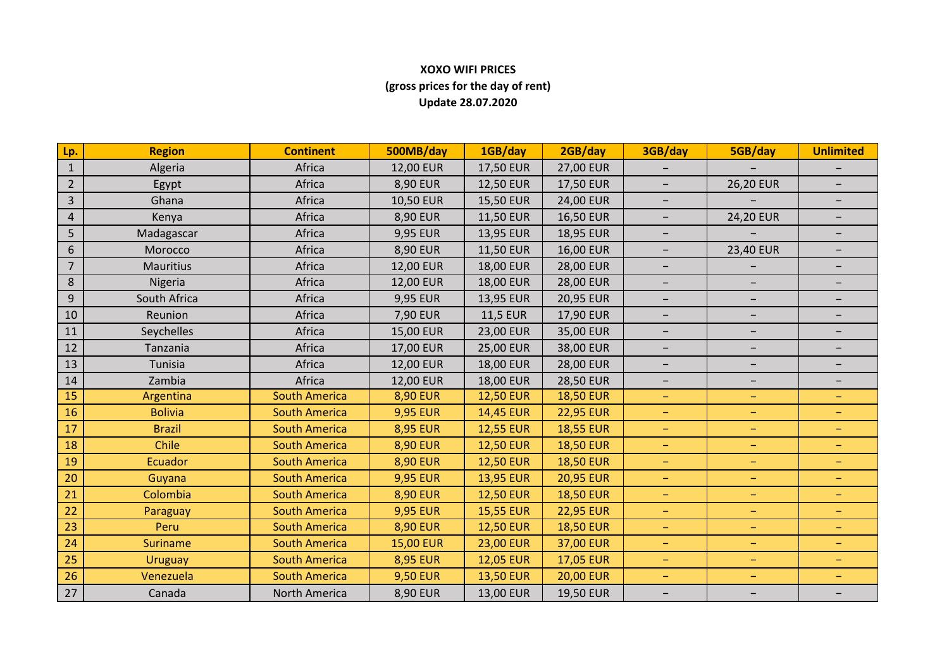## **XOXO WIFI PRICES (gross prices for the day of rent) Update 28.07.2020**

| Lp.            | <b>Region</b>    | <b>Continent</b>     | 500MB/day        | 1GB/day          | 2GB/day          | 3GB/day                  | 5GB/day                  | <b>Unlimited</b>         |
|----------------|------------------|----------------------|------------------|------------------|------------------|--------------------------|--------------------------|--------------------------|
| $1\,$          | Algeria          | Africa               | 12,00 EUR        | 17,50 EUR        | 27,00 EUR        |                          |                          |                          |
| $\overline{2}$ | Egypt            | Africa               | 8,90 EUR         | <b>12,50 EUR</b> | 17,50 EUR        |                          | <b>26,20 EUR</b>         |                          |
| $\overline{3}$ | Ghana            | Africa               | 10,50 EUR        | 15,50 EUR        | 24,00 EUR        | $\overline{\phantom{a}}$ |                          | $\qquad \qquad -$        |
| $\overline{4}$ | Kenya            | Africa               | 8,90 EUR         | <b>11,50 EUR</b> | 16,50 EUR        | $\overline{\phantom{m}}$ | 24,20 EUR                | $\qquad \qquad -$        |
| 5              | Madagascar       | Africa               | 9,95 EUR         | 13,95 EUR        | 18,95 EUR        | $\qquad \qquad -$        |                          |                          |
| 6              | Morocco          | Africa               | 8,90 EUR         | 11,50 EUR        | 16,00 EUR        | $\overline{\phantom{a}}$ | 23,40 EUR                | $\overline{\phantom{0}}$ |
| $\overline{7}$ | <b>Mauritius</b> | Africa               | 12,00 EUR        | 18,00 EUR        | 28,00 EUR        | $\overline{\phantom{a}}$ |                          | $\qquad \qquad -$        |
| 8              | Nigeria          | Africa               | 12,00 EUR        | <b>18,00 EUR</b> | <b>28,00 EUR</b> | $\overline{\phantom{m}}$ | $\overline{\phantom{a}}$ |                          |
| 9              | South Africa     | Africa               | 9,95 EUR         | 13,95 EUR        | 20,95 EUR        | $\overline{\phantom{a}}$ | $\overline{\phantom{m}}$ | -                        |
| 10             | Reunion          | Africa               | 7,90 EUR         | <b>11,5 EUR</b>  | 17,90 EUR        | $\overline{\phantom{a}}$ | $\overline{\phantom{a}}$ | $\qquad \qquad -$        |
| 11             | Seychelles       | Africa               | 15,00 EUR        | 23,00 EUR        | 35,00 EUR        |                          | $\qquad \qquad -$        |                          |
| 12             | Tanzania         | Africa               | 17,00 EUR        | 25,00 EUR        | 38,00 EUR        | $\overline{\phantom{a}}$ | $\overline{\phantom{m}}$ | -                        |
| 13             | Tunisia          | Africa               | 12,00 EUR        | <b>18,00 EUR</b> | 28,00 EUR        | $\overline{\phantom{m}}$ | $\overline{\phantom{m}}$ | $\qquad \qquad -$        |
| 14             | Zambia           | Africa               | 12,00 EUR        | 18,00 EUR        | <b>28,50 EUR</b> | $-$                      | $\overline{\phantom{a}}$ | $\overline{\phantom{0}}$ |
| 15             | Argentina        | <b>South America</b> | <b>8,90 EUR</b>  | <b>12,50 EUR</b> | <b>18,50 EUR</b> | $\equiv$                 | $\equiv$                 | $\overline{\phantom{m}}$ |
| 16             | <b>Bolivia</b>   | <b>South America</b> | <b>9,95 EUR</b>  | 14,45 EUR        | <b>22,95 EUR</b> | $\overline{\phantom{m}}$ | $\qquad \qquad -$        | $\qquad \qquad -$        |
| 17             | <b>Brazil</b>    | <b>South America</b> | <b>8,95 EUR</b>  | <b>12,55 EUR</b> | <b>18,55 EUR</b> | $\equiv$                 | $\qquad \qquad -$        | $\equiv$                 |
| 18             | Chile            | <b>South America</b> | <b>8,90 EUR</b>  | <b>12,50 EUR</b> | <b>18,50 EUR</b> | $\overline{\phantom{m}}$ | $\qquad \qquad -$        | $\qquad \qquad -$        |
| 19             | <b>Ecuador</b>   | <b>South America</b> | <b>8,90 EUR</b>  | <b>12,50 EUR</b> | <b>18,50 EUR</b> | $\equiv$                 | $\overline{\phantom{m}}$ | $\qquad \qquad -$        |
| 20             | Guyana           | <b>South America</b> | <b>9,95 EUR</b>  | 13,95 EUR        | <b>20,95 EUR</b> | $\equiv$                 | $\equiv$                 | $-$                      |
| 21             | Colombia         | <b>South America</b> | <b>8,90 EUR</b>  | <b>12,50 EUR</b> | <b>18,50 EUR</b> | $\overline{\phantom{m}}$ | $\overline{\phantom{m}}$ | $\qquad \qquad -$        |
| 22             | Paraguay         | <b>South America</b> | <b>9,95 EUR</b>  | <b>15,55 EUR</b> | <b>22,95 EUR</b> | $\overline{\phantom{m}}$ | $\overline{\phantom{m}}$ | $\qquad \qquad -$        |
| 23             | Peru             | <b>South America</b> | <b>8,90 EUR</b>  | <b>12,50 EUR</b> | <b>18,50 EUR</b> | $\equiv$                 | $\overline{\phantom{m}}$ | $\overline{\phantom{0}}$ |
| 24             | <b>Suriname</b>  | <b>South America</b> | <b>15,00 EUR</b> | <b>23,00 EUR</b> | 37,00 EUR        | $\overline{\phantom{m}}$ | $\overline{\phantom{m}}$ | $\overline{\phantom{m}}$ |
| 25             | <b>Uruguay</b>   | <b>South America</b> | <b>8,95 EUR</b>  | <b>12,05 EUR</b> | <b>17,05 EUR</b> | $\equiv$                 | $\equiv$                 | $\equiv$                 |
| 26             | Venezuela        | <b>South America</b> | <b>9,50 EUR</b>  | <b>13,50 EUR</b> | <b>20,00 EUR</b> | $\equiv$                 | $\equiv$                 | $\overline{\phantom{0}}$ |
| 27             | Canada           | North America        | 8,90 EUR         | 13,00 EUR        | 19,50 EUR        | $\overline{\phantom{a}}$ | $\overline{\phantom{m}}$ | $\qquad \qquad -$        |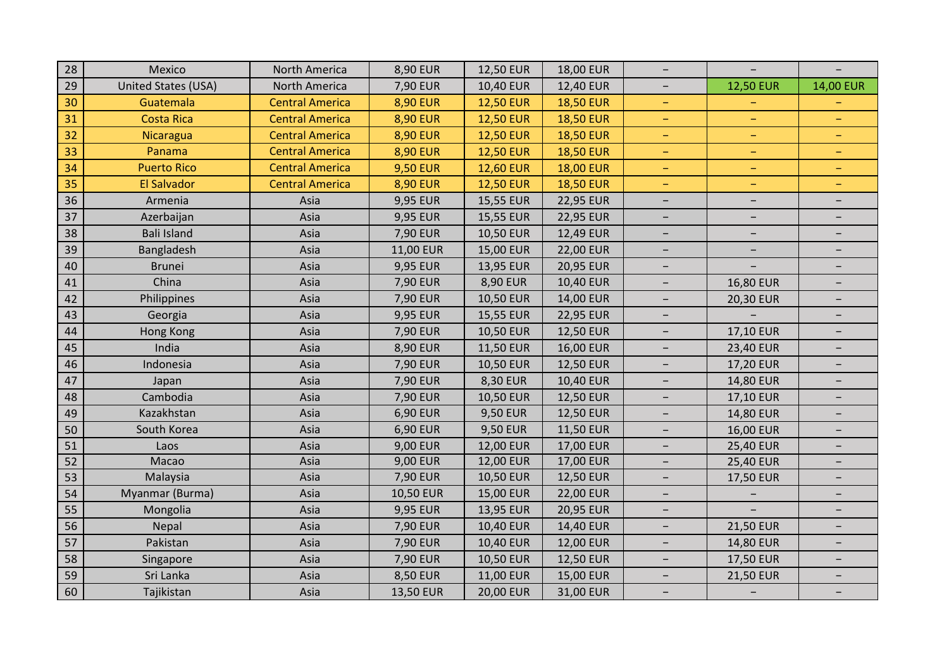| 28 | Mexico              | North America          | 8,90 EUR         | 12,50 EUR        | 18,00 EUR        | $\overline{\phantom{a}}$ |                          |                          |
|----|---------------------|------------------------|------------------|------------------|------------------|--------------------------|--------------------------|--------------------------|
| 29 | United States (USA) | North America          | 7,90 EUR         | 10,40 EUR        | 12,40 EUR        | $\overline{\phantom{0}}$ | <b>12,50 EUR</b>         | 14,00 EUR                |
| 30 | Guatemala           | <b>Central America</b> | <b>8,90 EUR</b>  | <b>12,50 EUR</b> | <b>18,50 EUR</b> | $\equiv$                 |                          |                          |
| 31 | <b>Costa Rica</b>   | <b>Central America</b> | <b>8,90 EUR</b>  | <b>12,50 EUR</b> | <b>18,50 EUR</b> | $\equiv$                 | $\overline{\phantom{m}}$ | $\equiv$                 |
| 32 | Nicaragua           | <b>Central America</b> | <b>8,90 EUR</b>  | <b>12,50 EUR</b> | <b>18,50 EUR</b> | $\equiv$                 | $\rightarrow$            | $\equiv$                 |
| 33 | Panama              | <b>Central America</b> | <b>8,90 EUR</b>  | <b>12,50 EUR</b> | <b>18,50 EUR</b> | $\equiv$                 | $\qquad \qquad -$        | -                        |
| 34 | <b>Puerto Rico</b>  | <b>Central America</b> | <b>9,50 EUR</b>  | <b>12,60 EUR</b> | <b>18,00 EUR</b> | $\equiv$                 | $\equiv$                 | $\overline{\phantom{m}}$ |
| 35 | <b>El Salvador</b>  | <b>Central America</b> | <b>8,90 EUR</b>  | <b>12,50 EUR</b> | <b>18,50 EUR</b> | $\overline{\phantom{m}}$ | -                        | $\overline{\phantom{a}}$ |
| 36 | Armenia             | Asia                   | 9,95 EUR         | 15,55 EUR        | 22,95 EUR        | $\overline{\phantom{m}}$ | $\overline{\phantom{a}}$ | $\overline{\phantom{a}}$ |
| 37 | Azerbaijan          | Asia                   | 9,95 EUR         | 15,55 EUR        | 22,95 EUR        | $\overline{\phantom{a}}$ |                          |                          |
| 38 | <b>Bali Island</b>  | Asia                   | 7,90 EUR         | 10,50 EUR        | 12,49 EUR        | $\overline{\phantom{a}}$ | $\overline{\phantom{a}}$ |                          |
| 39 | Bangladesh          | Asia                   | 11,00 EUR        | 15,00 EUR        | 22,00 EUR        | $\overline{\phantom{a}}$ | $\overline{\phantom{a}}$ | -                        |
| 40 | <b>Brunei</b>       | Asia                   | 9,95 EUR         | 13,95 EUR        | 20,95 EUR        | $\overline{\phantom{m}}$ |                          | $\overline{\phantom{a}}$ |
| 41 | China               | Asia                   | 7,90 EUR         | 8,90 EUR         | 10,40 EUR        | $\overline{\phantom{0}}$ | 16,80 EUR                |                          |
| 42 | Philippines         | Asia                   | 7,90 EUR         | 10,50 EUR        | 14,00 EUR        | $\overline{\phantom{0}}$ | <b>20,30 EUR</b>         |                          |
| 43 | Georgia             | Asia                   | 9,95 EUR         | 15,55 EUR        | 22,95 EUR        | $\overline{\phantom{a}}$ |                          | $\overline{\phantom{0}}$ |
| 44 | Hong Kong           | Asia                   | 7,90 EUR         | 10,50 EUR        | 12,50 EUR        | $\overline{\phantom{m}}$ | 17,10 EUR                | $\overline{\phantom{0}}$ |
| 45 | India               | Asia                   | 8,90 EUR         | 11,50 EUR        | 16,00 EUR        | $\overline{\phantom{m}}$ | <b>23,40 EUR</b>         | $\qquad \qquad -$        |
| 46 | Indonesia           | Asia                   | 7,90 EUR         | 10,50 EUR        | 12,50 EUR        | $\overline{\phantom{m}}$ | 17,20 EUR                | $\qquad \qquad -$        |
| 47 | Japan               | Asia                   | 7,90 EUR         | 8,30 EUR         | 10,40 EUR        | $\overline{\phantom{m}}$ | 14,80 EUR                | $\overline{\phantom{a}}$ |
| 48 | Cambodia            | Asia                   | 7,90 EUR         | 10,50 EUR        | 12,50 EUR        | $\overline{\phantom{0}}$ | 17,10 EUR                | -                        |
| 49 | Kazakhstan          | Asia                   | 6,90 EUR         | <b>9,50 EUR</b>  | 12,50 EUR        | $\overline{\phantom{a}}$ | 14,80 EUR                |                          |
| 50 | South Korea         | Asia                   | 6,90 EUR         | <b>9,50 EUR</b>  | 11,50 EUR        | $\overline{\phantom{a}}$ | <b>16,00 EUR</b>         |                          |
| 51 | Laos                | Asia                   | 9,00 EUR         | 12,00 EUR        | 17,00 EUR        | $\overline{\phantom{m}}$ | <b>25,40 EUR</b>         | $\overline{\phantom{a}}$ |
| 52 | Macao               | Asia                   | 9,00 EUR         | 12,00 EUR        | 17,00 EUR        | $\overline{\phantom{0}}$ | <b>25,40 EUR</b>         | $\qquad \qquad -$        |
| 53 | Malaysia            | Asia                   | 7,90 EUR         | 10,50 EUR        | 12,50 EUR        | $\overline{\phantom{0}}$ | 17,50 EUR                |                          |
| 54 | Myanmar (Burma)     | Asia                   | <b>10,50 EUR</b> | 15,00 EUR        | 22,00 EUR        | $\overline{\phantom{m}}$ |                          | $\overline{\phantom{0}}$ |
| 55 | Mongolia            | Asia                   | 9,95 EUR         | 13,95 EUR        | 20,95 EUR        | $\overline{\phantom{a}}$ |                          | $\overline{\phantom{a}}$ |
| 56 | Nepal               | Asia                   | 7,90 EUR         | 10,40 EUR        | 14,40 EUR        | $\overline{\phantom{a}}$ | <b>21,50 EUR</b>         | $\overline{\phantom{0}}$ |
| 57 | Pakistan            | Asia                   | 7,90 EUR         | 10,40 EUR        | 12,00 EUR        | $\overline{\phantom{a}}$ | 14,80 EUR                | $\overline{\phantom{0}}$ |
| 58 | Singapore           | Asia                   | 7,90 EUR         | <b>10,50 EUR</b> | 12,50 EUR        | -                        | <b>17,50 EUR</b>         |                          |
| 59 | Sri Lanka           | Asia                   | <b>8,50 EUR</b>  | 11,00 EUR        | 15,00 EUR        | $\overline{\phantom{a}}$ | <b>21,50 EUR</b>         | $\overline{\phantom{a}}$ |
| 60 | Tajikistan          | Asia                   | 13,50 EUR        | 20,00 EUR        | 31,00 EUR        | $\overline{\phantom{0}}$ |                          |                          |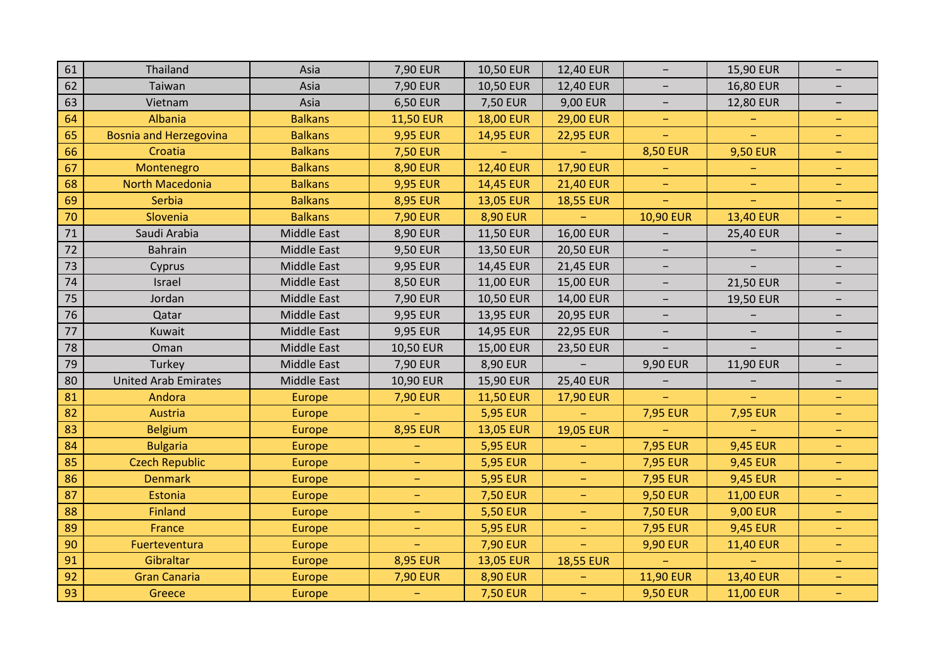| 61 | Thailand                      | Asia               | 7,90 EUR                 | 10,50 EUR        | 12,40 EUR        | $\overline{\phantom{m}}$ | 15,90 EUR                | $\overline{\phantom{0}}$ |
|----|-------------------------------|--------------------|--------------------------|------------------|------------------|--------------------------|--------------------------|--------------------------|
| 62 | Taiwan                        | Asia               | 7,90 EUR                 | 10,50 EUR        | 12,40 EUR        | $\qquad \qquad -$        | 16,80 EUR                | $\overline{\phantom{0}}$ |
| 63 | Vietnam                       | Asia               | 6,50 EUR                 | <b>7,50 EUR</b>  | 9,00 EUR         | $\overline{\phantom{m}}$ | 12,80 EUR                | $\overline{\phantom{0}}$ |
| 64 | Albania                       | <b>Balkans</b>     | <b>11,50 EUR</b>         | <b>18,00 EUR</b> | <b>29,00 EUR</b> | $\equiv$                 |                          | $\overline{\phantom{m}}$ |
| 65 | <b>Bosnia and Herzegovina</b> | <b>Balkans</b>     | <b>9,95 EUR</b>          | 14,95 EUR        | <b>22,95 EUR</b> | $\equiv$                 | $\equiv$                 | ÷                        |
| 66 | Croatia                       | <b>Balkans</b>     | <b>7,50 EUR</b>          |                  |                  | <b>8,50 EUR</b>          | <b>9,50 EUR</b>          | ÷,                       |
| 67 | Montenegro                    | <b>Balkans</b>     | <b>8,90 EUR</b>          | <b>12,40 EUR</b> | <b>17,90 EUR</b> | $\equiv$                 |                          | ÷,                       |
| 68 | North Macedonia               | <b>Balkans</b>     | <b>9,95 EUR</b>          | 14,45 EUR        | <b>21,40 EUR</b> | $\equiv$                 | $\equiv$                 | ÷,                       |
| 69 | Serbia                        | <b>Balkans</b>     | <b>8,95 EUR</b>          | <b>13,05 EUR</b> | <b>18,55 EUR</b> | $\overline{\phantom{m}}$ | $\equiv$                 | ÷                        |
| 70 | Slovenia                      | <b>Balkans</b>     | <b>7,90 EUR</b>          | <b>8,90 EUR</b>  |                  | <b>10,90 EUR</b>         | <b>13,40 EUR</b>         | ÷,                       |
| 71 | Saudi Arabia                  | <b>Middle East</b> | 8,90 EUR                 | 11,50 EUR        | 16,00 EUR        |                          | <b>25,40 EUR</b>         | $\overline{\phantom{0}}$ |
| 72 | <b>Bahrain</b>                | Middle East        | 9,50 EUR                 | 13,50 EUR        | 20,50 EUR        | $\overline{\phantom{0}}$ |                          | -                        |
| 73 | Cyprus                        | <b>Middle East</b> | 9,95 EUR                 | 14,45 EUR        | 21,45 EUR        | $\overline{\phantom{a}}$ |                          | $\overline{\phantom{a}}$ |
| 74 | Israel                        | <b>Middle East</b> | 8,50 EUR                 | 11,00 EUR        | 15,00 EUR        | $\overline{\phantom{0}}$ | 21,50 EUR                |                          |
| 75 | Jordan                        | <b>Middle East</b> | 7,90 EUR                 | 10,50 EUR        | 14,00 EUR        | $\qquad \qquad -$        | 19,50 EUR                | $\overline{\phantom{0}}$ |
| 76 | Qatar                         | <b>Middle East</b> | 9,95 EUR                 | 13,95 EUR        | 20,95 EUR        | $\overline{\phantom{0}}$ |                          |                          |
| 77 | Kuwait                        | <b>Middle East</b> | 9,95 EUR                 | 14,95 EUR        | <b>22,95 EUR</b> | $\overline{\phantom{m}}$ | $\overline{\phantom{m}}$ | $\overline{\phantom{a}}$ |
| 78 | Oman                          | <b>Middle East</b> | 10,50 EUR                | 15,00 EUR        | <b>23,50 EUR</b> |                          |                          |                          |
| 79 | Turkey                        | <b>Middle East</b> | 7,90 EUR                 | 8,90 EUR         |                  | 9,90 EUR                 | 11,90 EUR                | $\overline{\phantom{0}}$ |
| 80 | <b>United Arab Emirates</b>   | <b>Middle East</b> | 10,90 EUR                | 15,90 EUR        | 25,40 EUR        | -                        | $\overline{\phantom{a}}$ | -                        |
| 81 | Andora                        | Europe             | <b>7,90 EUR</b>          | <b>11,50 EUR</b> | 17,90 EUR        |                          |                          | $\overline{\phantom{m}}$ |
| 82 | Austria                       | <b>Europe</b>      |                          | <b>5,95 EUR</b>  |                  | <b>7,95 EUR</b>          | <b>7,95 EUR</b>          | -                        |
| 83 | <b>Belgium</b>                | <b>Europe</b>      | <b>8,95 EUR</b>          | <b>13,05 EUR</b> | <b>19,05 EUR</b> |                          |                          | -                        |
| 84 | <b>Bulgaria</b>               | Europe             |                          | <b>5,95 EUR</b>  | -                | <b>7,95 EUR</b>          | <b>9,45 EUR</b>          | -                        |
| 85 | <b>Czech Republic</b>         | <b>Europe</b>      | $\equiv$                 | <b>5,95 EUR</b>  | ÷                | <b>7,95 EUR</b>          | <b>9,45 EUR</b>          | $\overline{\phantom{a}}$ |
| 86 | <b>Denmark</b>                | <b>Europe</b>      | $\overline{\phantom{m}}$ | <b>5,95 EUR</b>  |                  | <b>7,95 EUR</b>          | <b>9,45 EUR</b>          | -                        |
| 87 | Estonia                       | Europe             | $\qquad \qquad -$        | <b>7,50 EUR</b>  | -                | <b>9,50 EUR</b>          | <b>11,00 EUR</b>         | -                        |
| 88 | <b>Finland</b>                | <b>Europe</b>      | $\equiv$                 | <b>5,50 EUR</b>  | $\equiv$         | <b>7,50 EUR</b>          | <b>9,00 EUR</b>          | -                        |
| 89 | France                        | <b>Europe</b>      | $\equiv$                 | <b>5,95 EUR</b>  | $\equiv$         | <b>7,95 EUR</b>          | <b>9,45 EUR</b>          | $\equiv$                 |
| 90 | Fuerteventura                 | <b>Europe</b>      |                          | <b>7,90 EUR</b>  |                  | <b>9,90 EUR</b>          | <b>11,40 EUR</b>         | -                        |
| 91 | Gibraltar                     | <b>Europe</b>      | <b>8,95 EUR</b>          | <b>13,05 EUR</b> | <b>18,55 EUR</b> |                          |                          | -                        |
| 92 | <b>Gran Canaria</b>           | <b>Europe</b>      | <b>7,90 EUR</b>          | <b>8,90 EUR</b>  | -                | <b>11,90 EUR</b>         | <b>13,40 EUR</b>         | -                        |
| 93 | Greece                        | <b>Europe</b>      |                          | <b>7,50 EUR</b>  | $\equiv$         | <b>9,50 EUR</b>          | <b>11,00 EUR</b>         | $\equiv$                 |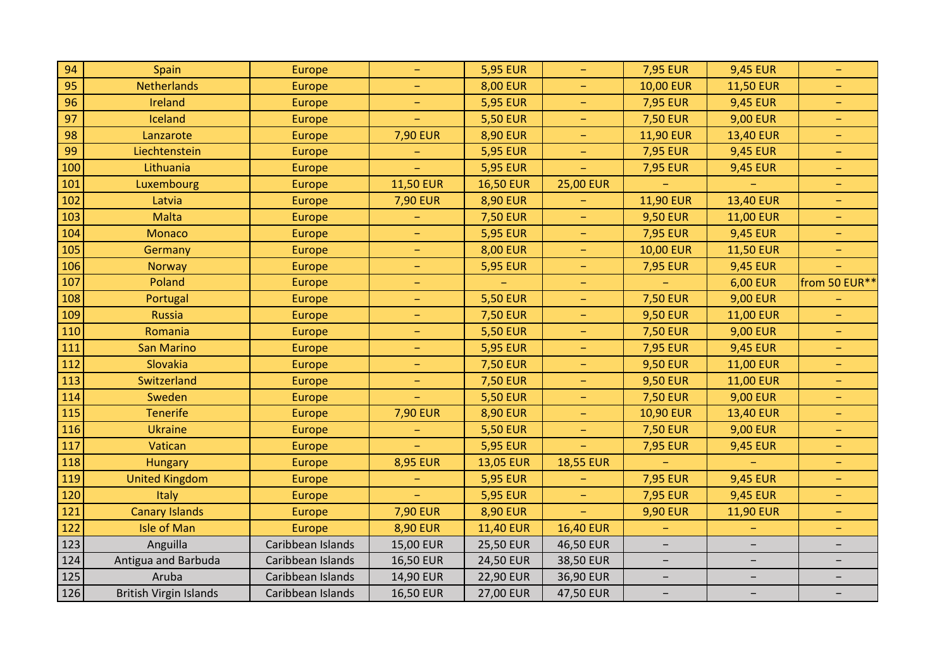| 94  | Spain                         | Europe            | $\overline{\phantom{a}}$ | <b>5,95 EUR</b>  | $\equiv$                 | <b>7,95 EUR</b>          | <b>9,45 EUR</b>          | $\overline{\phantom{m}}$ |
|-----|-------------------------------|-------------------|--------------------------|------------------|--------------------------|--------------------------|--------------------------|--------------------------|
| 95  | <b>Netherlands</b>            | Europe            | $\equiv$                 | <b>8,00 EUR</b>  | $\equiv$                 | <b>10,00 EUR</b>         | <b>11,50 EUR</b>         | $\equiv$                 |
| 96  | Ireland                       | <b>Europe</b>     |                          | <b>5,95 EUR</b>  | ÷,                       | <b>7,95 EUR</b>          | <b>9,45 EUR</b>          | $\equiv$                 |
| 97  | Iceland                       | Europe            |                          | <b>5,50 EUR</b>  | -                        | <b>7,50 EUR</b>          | <b>9,00 EUR</b>          | $\rightarrow$            |
| 98  | Lanzarote                     | Europe            | <b>7,90 EUR</b>          | <b>8,90 EUR</b>  | $\equiv$                 | <b>11,90 EUR</b>         | <b>13,40 EUR</b>         | $\equiv$                 |
| 99  | Liechtenstein                 | Europe            |                          | <b>5,95 EUR</b>  | Ξ,                       | <b>7,95 EUR</b>          | <b>9,45 EUR</b>          | $\equiv$                 |
| 100 | Lithuania                     | Europe            |                          | <b>5,95 EUR</b>  |                          | <b>7,95 EUR</b>          | <b>9,45 EUR</b>          | $\overline{\phantom{m}}$ |
| 101 | Luxembourg                    | <b>Europe</b>     | <b>11,50 EUR</b>         | <b>16,50 EUR</b> | <b>25,00 EUR</b>         |                          |                          | -                        |
| 102 | Latvia                        | Europe            | <b>7,90 EUR</b>          | <b>8,90 EUR</b>  |                          | <b>11,90 EUR</b>         | 13,40 EUR                | $\equiv$                 |
| 103 | Malta                         | <b>Europe</b>     |                          | <b>7,50 EUR</b>  | -                        | <b>9,50 EUR</b>          | <b>11,00 EUR</b>         | -                        |
| 104 | <b>Monaco</b>                 | <b>Europe</b>     | $\equiv$                 | <b>5,95 EUR</b>  | -                        | <b>7,95 EUR</b>          | <b>9,45 EUR</b>          | $\qquad \qquad -$        |
| 105 | Germany                       | Europe            | -                        | <b>8,00 EUR</b>  | $\equiv$                 | <b>10,00 EUR</b>         | <b>11,50 EUR</b>         | $\equiv$                 |
| 106 | <b>Norway</b>                 | <b>Europe</b>     | $\overline{\phantom{m}}$ | <b>5,95 EUR</b>  | ÷                        | <b>7,95 EUR</b>          | <b>9,45 EUR</b>          | $\equiv$                 |
| 107 | Poland                        | Europe            | -                        |                  |                          |                          | <b>6,00 EUR</b>          | from 50 EUR**            |
| 108 | Portugal                      | Europe            | $\qquad \qquad -$        | <b>5,50 EUR</b>  | -                        | <b>7,50 EUR</b>          | <b>9,00 EUR</b>          |                          |
| 109 | <b>Russia</b>                 | <b>Europe</b>     | $\equiv$                 | <b>7,50 EUR</b>  | -                        | <b>9,50 EUR</b>          | <b>11,00 EUR</b>         | $\rightarrow$            |
| 110 | Romania                       | Europe            | $\equiv$                 | <b>5,50 EUR</b>  | $\equiv$                 | <b>7,50 EUR</b>          | <b>9,00 EUR</b>          | $\equiv$                 |
| 111 | San Marino                    | <b>Europe</b>     | $\equiv$                 | <b>5,95 EUR</b>  | ÷,                       | <b>7,95 EUR</b>          | <b>9,45 EUR</b>          | $\equiv$                 |
| 112 | Slovakia                      | Europe            | $\equiv$                 | <b>7,50 EUR</b>  | $\overline{\phantom{m}}$ | <b>9,50 EUR</b>          | <b>11,00 EUR</b>         | $\overline{\phantom{m}}$ |
| 113 | Switzerland                   | <b>Europe</b>     | $\rightarrow$            | <b>7,50 EUR</b>  | $\rightarrow$            | <b>9,50 EUR</b>          | <b>11,00 EUR</b>         | $\equiv$                 |
| 114 | Sweden                        | <b>Europe</b>     |                          | <b>5,50 EUR</b>  | ÷,                       | <b>7,50 EUR</b>          | <b>9,00 EUR</b>          | $\equiv$                 |
| 115 | <b>Tenerife</b>               | Europe            | <b>7,90 EUR</b>          | <b>8,90 EUR</b>  | ÷,                       | <b>10,90 EUR</b>         | 13,40 EUR                | $\overline{\phantom{m}}$ |
| 116 | <b>Ukraine</b>                | Europe            |                          | <b>5,50 EUR</b>  | -                        | <b>7,50 EUR</b>          | <b>9,00 EUR</b>          | $\equiv$                 |
| 117 | Vatican                       | Europe            |                          | <b>5,95 EUR</b>  | ÷                        | <b>7,95 EUR</b>          | <b>9,45 EUR</b>          | $\rightarrow$            |
| 118 | <b>Hungary</b>                | Europe            | <b>8,95 EUR</b>          | <b>13,05 EUR</b> | <b>18,55 EUR</b>         |                          |                          | $\equiv$                 |
| 119 | <b>United Kingdom</b>         | Europe            | $\qquad \qquad -$        | <b>5,95 EUR</b>  |                          | <b>7,95 EUR</b>          | <b>9,45 EUR</b>          | $\qquad \qquad -$        |
| 120 | Italy                         | Europe            |                          | <b>5,95 EUR</b>  | $\equiv$                 | <b>7,95 EUR</b>          | <b>9,45 EUR</b>          | $\equiv$                 |
| 121 | <b>Canary Islands</b>         | Europe            | <b>7,90 EUR</b>          | <b>8,90 EUR</b>  | $\equiv$                 | <b>9,90 EUR</b>          | <b>11,90 EUR</b>         | $\equiv$                 |
| 122 | <b>Isle of Man</b>            | <b>Europe</b>     | <b>8,90 EUR</b>          | <b>11,40 EUR</b> | <b>16,40 EUR</b>         |                          |                          | -                        |
| 123 | Anguilla                      | Caribbean Islands | 15,00 EUR                | 25,50 EUR        | 46,50 EUR                |                          | $\overline{\phantom{0}}$ |                          |
| 124 | Antigua and Barbuda           | Caribbean Islands | <b>16,50 EUR</b>         | 24,50 EUR        | 38,50 EUR                | $\overline{\phantom{a}}$ | $\overline{\phantom{a}}$ | -                        |
| 125 | Aruba                         | Caribbean Islands | 14,90 EUR                | 22,90 EUR        | 36,90 EUR                | $\overline{\phantom{a}}$ | $\overline{\phantom{m}}$ | $\overline{\phantom{a}}$ |
| 126 | <b>British Virgin Islands</b> | Caribbean Islands | <b>16,50 EUR</b>         | 27,00 EUR        | 47,50 EUR                | -                        | $\overline{\phantom{a}}$ |                          |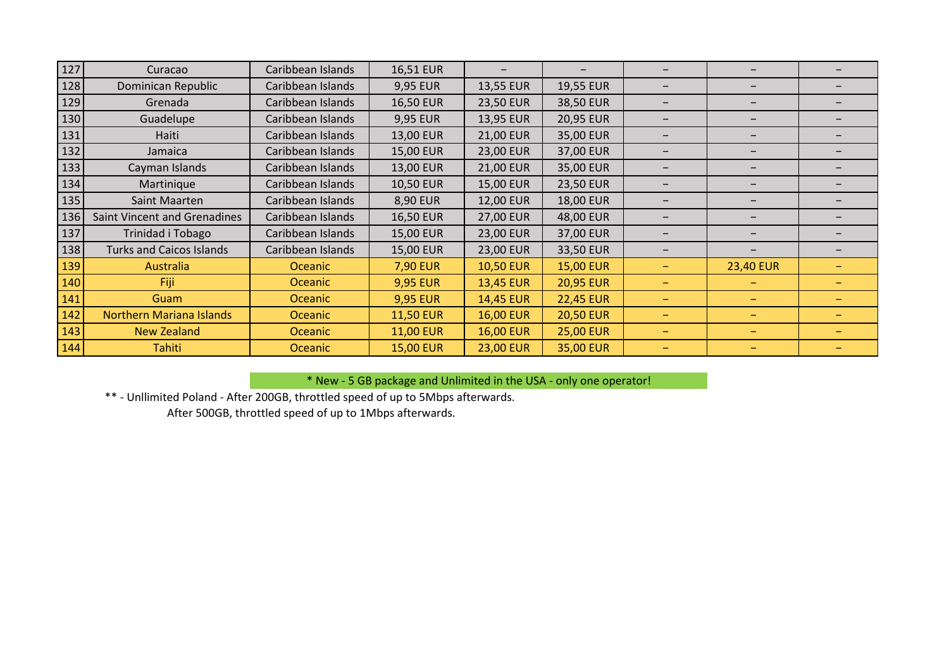| 127 | Curacao                             | Caribbean Islands | 16,51 EUR        |                  | $\overline{\phantom{0}}$ | —                        |                          |                          |
|-----|-------------------------------------|-------------------|------------------|------------------|--------------------------|--------------------------|--------------------------|--------------------------|
| 128 | Dominican Republic                  | Caribbean Islands | 9,95 EUR         | 13,55 EUR        | 19,55 EUR                | $\overline{\phantom{0}}$ | $\overline{\phantom{0}}$ |                          |
| 129 | Grenada                             | Caribbean Islands | 16,50 EUR        | 23,50 EUR        | 38,50 EUR                | —                        | $\overline{\phantom{0}}$ |                          |
| 130 | Guadelupe                           | Caribbean Islands | 9,95 EUR         | 13,95 EUR        | 20,95 EUR                | -                        | $\overline{\phantom{0}}$ |                          |
| 131 | Haiti                               | Caribbean Islands | 13,00 EUR        | 21,00 EUR        | 35,00 EUR                |                          |                          |                          |
| 132 | Jamaica                             | Caribbean Islands | 15,00 EUR        | 23,00 EUR        | 37,00 EUR                |                          |                          |                          |
| 133 | Cayman Islands                      | Caribbean Islands | 13,00 EUR        | 21,00 EUR        | 35,00 EUR                |                          |                          |                          |
| 134 | Martinique                          | Caribbean Islands | 10,50 EUR        | 15,00 EUR        | 23,50 EUR                |                          | -                        |                          |
| 135 | Saint Maarten                       | Caribbean Islands | 8,90 EUR         | 12,00 EUR        | 18,00 EUR                | $\qquad \qquad -$        | $\overline{\phantom{0}}$ |                          |
| 136 | <b>Saint Vincent and Grenadines</b> | Caribbean Islands | 16,50 EUR        | 27,00 EUR        | 48,00 EUR                | $\overline{\phantom{0}}$ | -                        |                          |
| 137 | Trinidad i Tobago                   | Caribbean Islands | 15,00 EUR        | 23,00 EUR        | 37,00 EUR                | $\qquad \qquad -$        | -                        |                          |
| 138 | <b>Turks and Caicos Islands</b>     | Caribbean Islands | 15,00 EUR        | 23,00 EUR        | 33,50 EUR                | $\qquad \qquad -$        |                          |                          |
| 139 | Australia                           | Oceanic           | <b>7,90 EUR</b>  | <b>10,50 EUR</b> | <b>15,00 EUR</b>         | -                        | <b>23,40 EUR</b>         |                          |
| 140 | Fiji                                | Oceanic           | <b>9,95 EUR</b>  | 13,45 EUR        | <b>20,95 EUR</b>         | -                        | $\overline{\phantom{0}}$ |                          |
| 141 | Guam                                | <b>Oceanic</b>    | <b>9,95 EUR</b>  | <b>14,45 EUR</b> | <b>22,45 EUR</b>         | -                        | $\overline{\phantom{0}}$ |                          |
| 142 | <b>Northern Mariana Islands</b>     | <b>Oceanic</b>    | <b>11,50 EUR</b> | <b>16,00 EUR</b> | <b>20,50 EUR</b>         | -                        | -                        |                          |
| 143 | <b>New Zealand</b>                  | <b>Oceanic</b>    | <b>11,00 EUR</b> | <b>16,00 EUR</b> | <b>25,00 EUR</b>         | $\overline{\phantom{0}}$ | $\overline{\phantom{0}}$ | $\overline{\phantom{0}}$ |
| 144 | <b>Tahiti</b>                       | <b>Oceanic</b>    | <b>15,00 EUR</b> | <b>23,00 EUR</b> | 35,00 EUR                | -                        | $\overline{\phantom{0}}$ |                          |

\* New - 5 GB package and Unlimited in the USA - only one operator!

\*\* - Unllimited Poland - After 200GB, throttled speed of up to 5Mbps afterwards.

After 500GB, throttled speed of up to 1Mbps afterwards.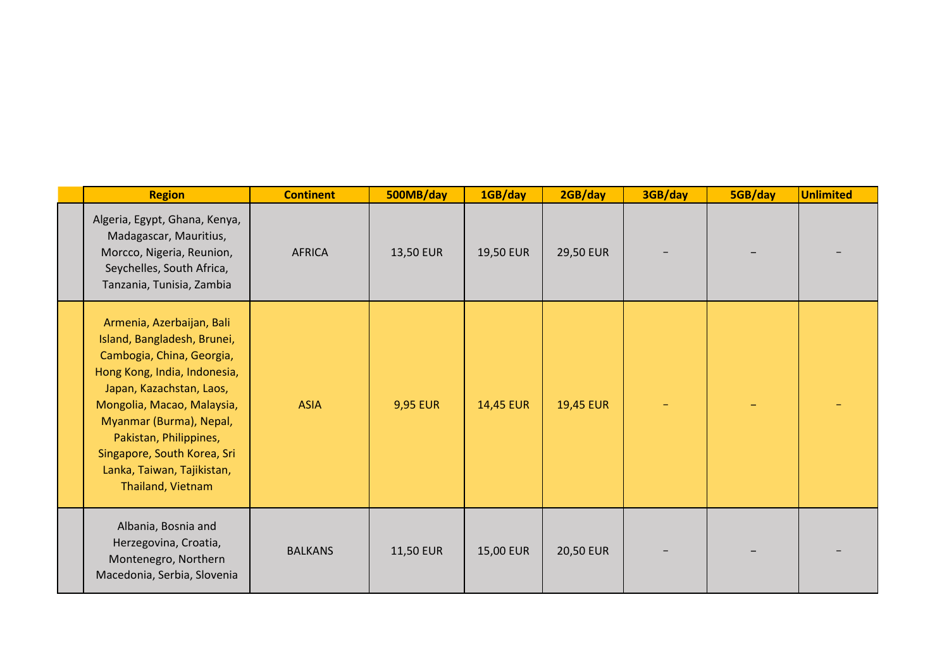| <b>Region</b>                                                                                                                                                                                                                                                                                                          | <b>Continent</b> | 500MB/day       | 1GB/day   | 2GB/day          | 3GB/day | 5GB/day | <b>Unlimited</b> |
|------------------------------------------------------------------------------------------------------------------------------------------------------------------------------------------------------------------------------------------------------------------------------------------------------------------------|------------------|-----------------|-----------|------------------|---------|---------|------------------|
| Algeria, Egypt, Ghana, Kenya,<br>Madagascar, Mauritius,<br>Morcco, Nigeria, Reunion,<br>Seychelles, South Africa,<br>Tanzania, Tunisia, Zambia                                                                                                                                                                         | <b>AFRICA</b>    | 13,50 EUR       | 19,50 EUR | <b>29,50 EUR</b> |         |         |                  |
| Armenia, Azerbaijan, Bali<br>Island, Bangladesh, Brunei,<br>Cambogia, China, Georgia,<br>Hong Kong, India, Indonesia,<br>Japan, Kazachstan, Laos,<br>Mongolia, Macao, Malaysia,<br>Myanmar (Burma), Nepal,<br>Pakistan, Philippines,<br>Singapore, South Korea, Sri<br>Lanka, Taiwan, Tajikistan,<br>Thailand, Vietnam | <b>ASIA</b>      | <b>9,95 EUR</b> | 14,45 EUR | <b>19,45 EUR</b> |         |         |                  |
| Albania, Bosnia and<br>Herzegovina, Croatia,<br>Montenegro, Northern<br>Macedonia, Serbia, Slovenia                                                                                                                                                                                                                    | <b>BALKANS</b>   | 11,50 EUR       | 15,00 EUR | 20,50 EUR        |         |         |                  |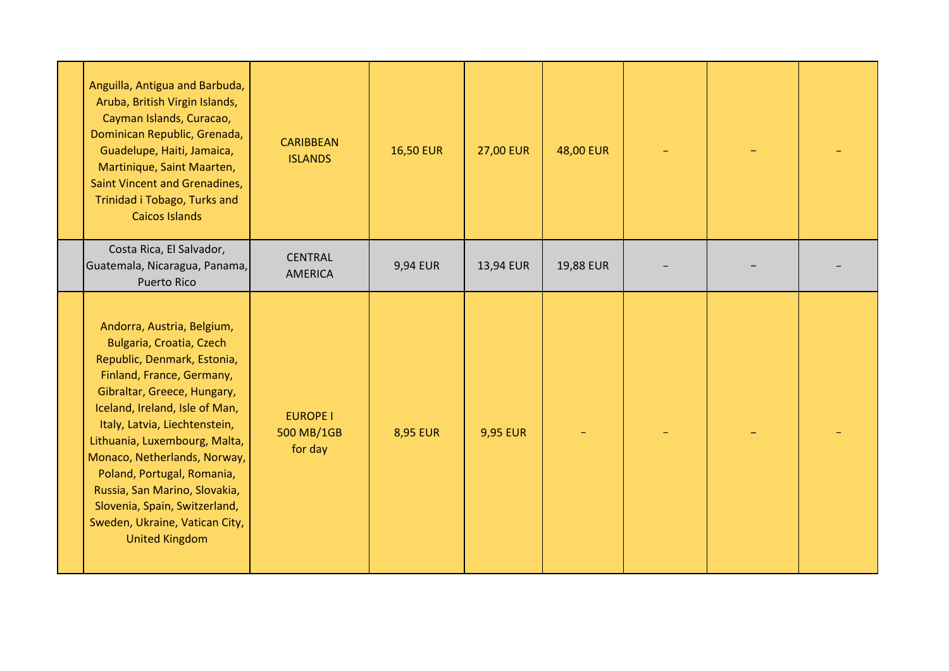| Anguilla, Antigua and Barbuda,<br>Aruba, British Virgin Islands,<br>Cayman Islands, Curacao,<br>Dominican Republic, Grenada,<br>Guadelupe, Haiti, Jamaica,<br>Martinique, Saint Maarten,<br>Saint Vincent and Grenadines,<br>Trinidad i Tobago, Turks and<br><b>Caicos Islands</b>                                                                                                                                                               | <b>CARIBBEAN</b><br><b>ISLANDS</b>       | <b>16,50 EUR</b> | <b>27,00 EUR</b> | 48,00 EUR |  |  |
|--------------------------------------------------------------------------------------------------------------------------------------------------------------------------------------------------------------------------------------------------------------------------------------------------------------------------------------------------------------------------------------------------------------------------------------------------|------------------------------------------|------------------|------------------|-----------|--|--|
| Costa Rica, El Salvador,<br>Guatemala, Nicaragua, Panama,<br>Puerto Rico                                                                                                                                                                                                                                                                                                                                                                         | <b>CENTRAL</b><br>AMERICA                | 9,94 EUR         | 13,94 EUR        | 19,88 EUR |  |  |
| Andorra, Austria, Belgium,<br>Bulgaria, Croatia, Czech<br>Republic, Denmark, Estonia,<br>Finland, France, Germany,<br>Gibraltar, Greece, Hungary,<br>Iceland, Ireland, Isle of Man,<br>Italy, Latvia, Liechtenstein,<br>Lithuania, Luxembourg, Malta,<br>Monaco, Netherlands, Norway,<br>Poland, Portugal, Romania,<br>Russia, San Marino, Slovakia,<br>Slovenia, Spain, Switzerland,<br>Sweden, Ukraine, Vatican City,<br><b>United Kingdom</b> | <b>EUROPE I</b><br>500 MB/1GB<br>for day | <b>8,95 EUR</b>  | <b>9,95 EUR</b>  |           |  |  |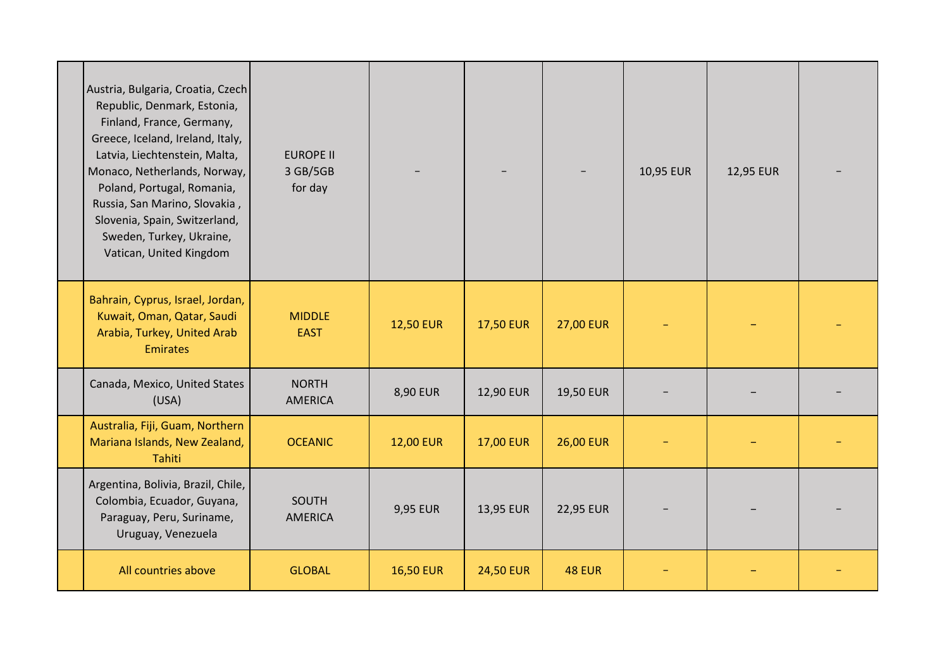| Austria, Bulgaria, Croatia, Czech<br>Republic, Denmark, Estonia,<br>Finland, France, Germany,<br>Greece, Iceland, Ireland, Italy,<br>Latvia, Liechtenstein, Malta,<br>Monaco, Netherlands, Norway,<br>Poland, Portugal, Romania,<br>Russia, San Marino, Slovakia,<br>Slovenia, Spain, Switzerland,<br>Sweden, Turkey, Ukraine,<br>Vatican, United Kingdom | <b>EUROPE II</b><br>3 GB/5GB<br>for day |                  |                  |                  | 10,95 EUR | 12,95 EUR |  |
|-----------------------------------------------------------------------------------------------------------------------------------------------------------------------------------------------------------------------------------------------------------------------------------------------------------------------------------------------------------|-----------------------------------------|------------------|------------------|------------------|-----------|-----------|--|
| Bahrain, Cyprus, Israel, Jordan,<br>Kuwait, Oman, Qatar, Saudi<br>Arabia, Turkey, United Arab<br><b>Emirates</b>                                                                                                                                                                                                                                          | <b>MIDDLE</b><br><b>EAST</b>            | <b>12,50 EUR</b> | <b>17,50 EUR</b> | <b>27,00 EUR</b> |           |           |  |
| Canada, Mexico, United States<br>(USA)                                                                                                                                                                                                                                                                                                                    | <b>NORTH</b><br>AMERICA                 | 8,90 EUR         | 12,90 EUR        | 19,50 EUR        |           |           |  |
| Australia, Fiji, Guam, Northern<br>Mariana Islands, New Zealand,<br>Tahiti                                                                                                                                                                                                                                                                                | <b>OCEANIC</b>                          | <b>12,00 EUR</b> | <b>17,00 EUR</b> | <b>26,00 EUR</b> |           |           |  |
| Argentina, Bolivia, Brazil, Chile,<br>Colombia, Ecuador, Guyana,<br>Paraguay, Peru, Suriname,<br>Uruguay, Venezuela                                                                                                                                                                                                                                       | SOUTH<br><b>AMERICA</b>                 | 9,95 EUR         | 13,95 EUR        | 22,95 EUR        |           |           |  |
| All countries above                                                                                                                                                                                                                                                                                                                                       | <b>GLOBAL</b>                           | <b>16,50 EUR</b> | <b>24,50 EUR</b> | <b>48 EUR</b>    |           |           |  |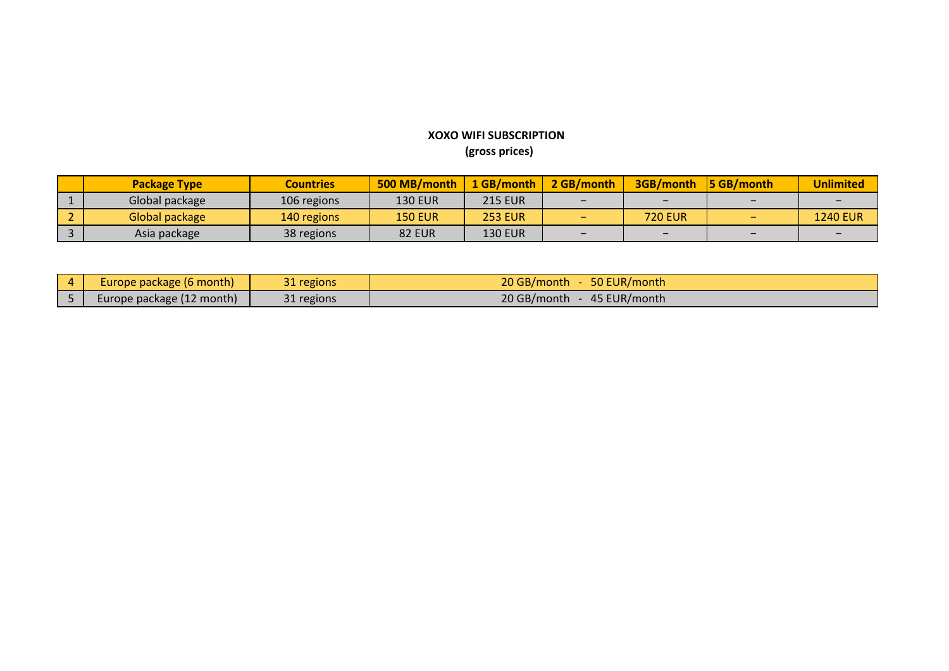## **XOXO WIFI SUBSCRIPTION (gross prices)**

| <b>Package Type</b> | <b>Countries</b> | 500 MB/month   | 1 GB/month     | 2 GB/month | 3GB/month      | $\overline{5}$ GB/month | <b>Unlimited</b> |
|---------------------|------------------|----------------|----------------|------------|----------------|-------------------------|------------------|
| Global package      | 106 regions      | <b>130 EUR</b> | <b>215 EUR</b> |            | -              |                         |                  |
| Global package      | 140 regions      | <b>150 EUR</b> | <b>253 EUR</b> |            | <b>720 EUR</b> |                         | <b>1240 EUR</b>  |
| Asia package        | 38 regions       | <b>82 EUR</b>  | <b>130 EUR</b> |            |                |                         |                  |

| 4 | Europe package (6 month)  | 31 regions | 20 GB/month<br>50 EUR/month |
|---|---------------------------|------------|-----------------------------|
|   | Europe package (12 month) | 31 regions | 20 GB/month<br>45 EUR/month |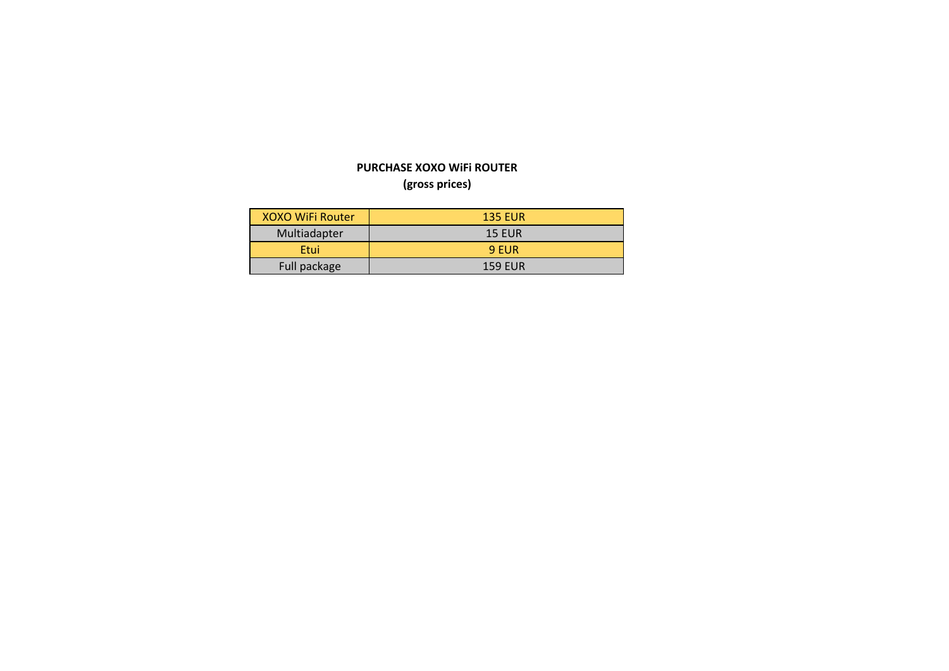## **(gross prices) PURCHASE XOXO WiFi ROUTER**

| XOXO WiFi Router | <b>135 EUR</b> |
|------------------|----------------|
| Multiadapter     | <b>15 EUR</b>  |
| Etui             | 9 EUR          |
| Full package     | <b>159 EUR</b> |